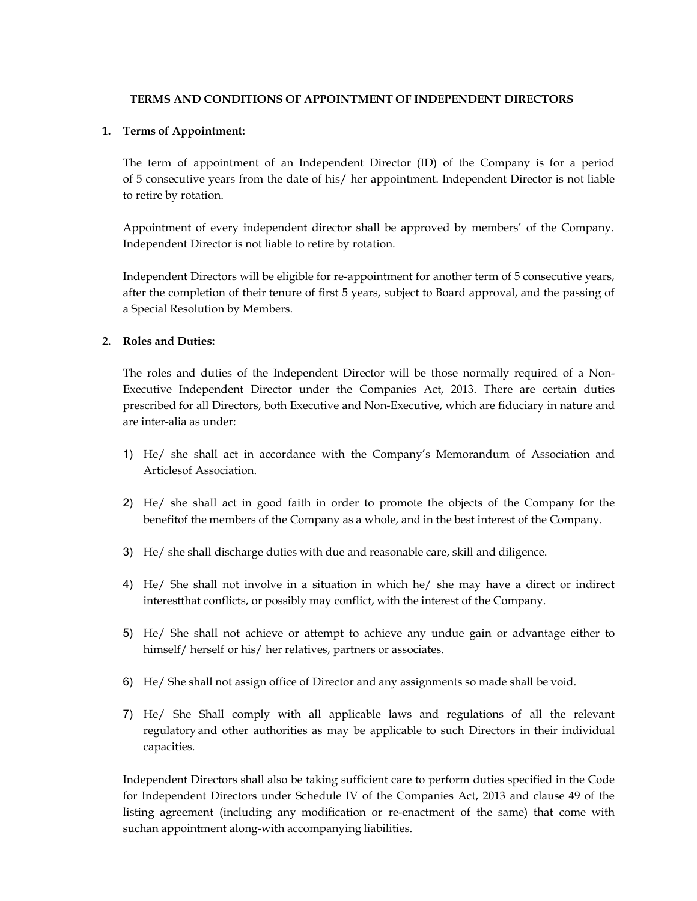# **TERMS AND CONDITIONS OF APPOINTMENT OF INDEPENDENT DIRECTORS**

### **1. Terms of Appointment:**

The term of appointment of an Independent Director (ID) of the Company is for a period of 5 consecutive years from the date of his/ her appointment. Independent Director is not liable to retire by rotation.

Appointment of every independent director shall be approved by members' of the Company. Independent Director is not liable to retire by rotation.

Independent Directors will be eligible for re-appointment for another term of 5 consecutive years, after the completion of their tenure of first 5 years, subject to Board approval, and the passing of a Special Resolution by Members.

### **2. Roles and Duties:**

The roles and duties of the Independent Director will be those normally required of a Non-Executive Independent Director under the Companies Act, 2013. There are certain duties prescribed for all Directors, both Executive and Non-Executive, which are fiduciary in nature and are inter-alia as under:

- 1) He/ she shall act in accordance with the Company's Memorandum of Association and Articlesof Association.
- 2) He/ she shall act in good faith in order to promote the objects of the Company for the benefit of the members of the Company as a whole, and in the best interest of the Company.
- 3) He/ she shall discharge duties with due and reasonable care, skill and diligence.
- 4) He/ She shall not involve in a situation in which he/ she may have a direct or indirect interest that conflicts, or possibly may conflict, with the interest of the Company.
- 5) He/ She shall not achieve or attempt to achieve any undue gain or advantage either to himself/ herself or his/ her relatives, partners or associates.
- 6) He/ She shall not assign office of Director and any assignments so made shall be void.
- 7) He/ She Shall comply with all applicable laws and regulations of all the relevant regulatory and other authorities as may be applicable to such Directors in their individual capacities.

Independent Directors shall also be taking sufficient care to perform duties specified in the Code for Independent Directors under Schedule IV of the Companies Act, 2013 and clause 49 of the listing agreement (including any modification or re-enactment of the same) that come with suchan appointment along-with accompanying liabilities.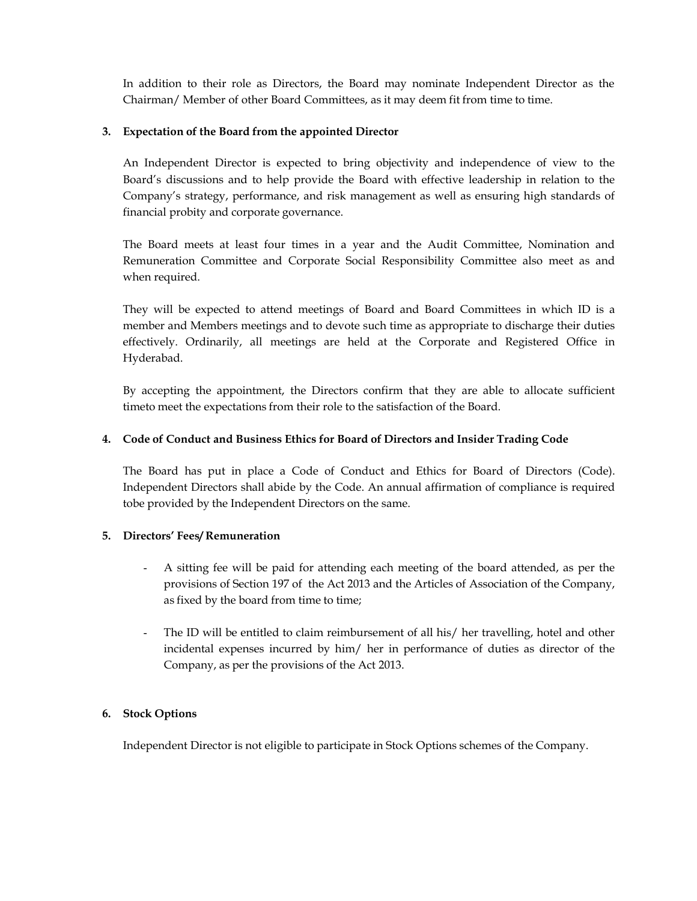In addition to their role as Directors, the Board may nominate Independent Director as the Chairman/ Member of other Board Committees, as it may deem fit from time to time.

## **3. Expectation of the Board from the appointed Director**

An Independent Director is expected to bring objectivity and independence of view to the Board's discussions and to help provide the Board with effective leadership in relation to the Company's strategy, performance, and risk management as well as ensuring high standards of financial probity and corporate governance.

The Board meets at least four times in a year and the Audit Committee, Nomination and Remuneration Committee and Corporate Social Responsibility Committee also meet as and when required.

They will be expected to attend meetings of Board and Board Committees in which ID is a member and Members meetings and to devote such time as appropriate to discharge their duties effectively. Ordinarily, all meetings are held at the Corporate and Registered Office in Hyderabad.

By accepting the appointment, the Directors confirm that they are able to allocate sufficient time to meet the expectations from their role to the satisfaction of the Board.

## **4. Code of Conduct and Business Ethics for Board of Directors and Insider Trading Code**

The Board has put in place a Code of Conduct and Ethics for Board of Directors (Code). Independent Directors shall abide by the Code. An annual affirmation of compliance is required tobe provided by the Independent Directors on the same.

## **5. Directors' Fees/ Remuneration**

- A sitting fee will be paid for attending each meeting of the board attended, as per the provisions of Section 197 of the Act 2013 and the Articles of Association of the Company, as fixed by the board from time to time;
- The ID will be entitled to claim reimbursement of all his/ her travelling, hotel and other incidental expenses incurred by him/ her in performance of duties as director of the Company, as per the provisions of the Act 2013.

## **6. Stock Options**

Independent Director is not eligible to participate in Stock Options schemes of the Company.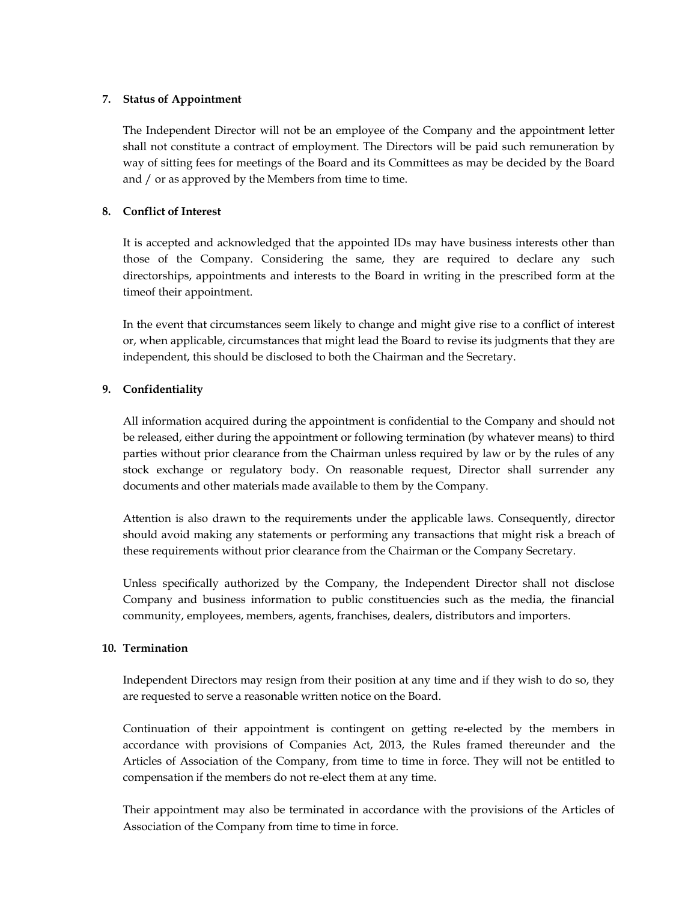#### **7. Status of Appointment**

The Independent Director will not be an employee of the Company and the appointment letter shall not constitute a contract of employment. The Directors will be paid such remuneration by way of sitting fees for meetings of the Board and its Committees as may be decided by the Board and / or as approved by the Members from time to time.

### **8. Conflict of Interest**

It is accepted and acknowledged that the appointed IDs may have business interests other than those of the Company. Considering the same, they are required to declare any such directorships, appointments and interests to the Board in writing in the prescribed form at the time of their appointment.

In the event that circumstances seem likely to change and might give rise to a conflict of interest or, when applicable, circumstances that might lead the Board to revise its judgments that they are independent, this should be disclosed to both the Chairman and the Secretary.

## **9. Confidentiality**

All information acquired during the appointment is confidential to the Company and should not be released, either during the appointment or following termination (by whatever means) to third parties without prior clearance from the Chairman unless required by law or by the rules of any stock exchange or regulatory body. On reasonable request, Director shall surrender any documents and other materials made available to them by the Company.

Attention is also drawn to the requirements under the applicable laws. Consequently, director should avoid making any statements or performing any transactions that might risk a breach of these requirements without prior clearance from the Chairman or the Company Secretary.

Unless specifically authorized by the Company, the Independent Director shall not disclose Company and business information to public constituencies such as the media, the financial community, employees, members, agents, franchises, dealers, distributors and importers.

## **10. Termination**

Independent Directors may resign from their position at any time and if they wish to do so, they are requested to serve a reasonable written notice on the Board.

Continuation of their appointment is contingent on getting re-elected by the members in accordance with provisions of Companies Act, 2013, the Rules framed thereunder and the Articles of Association of the Company, from time to time in force. They will not be entitled to compensation if the members do not re-elect them at any time.

Their appointment may also be terminated in accordance with the provisions of the Articles of Association of the Company from time to time in force.